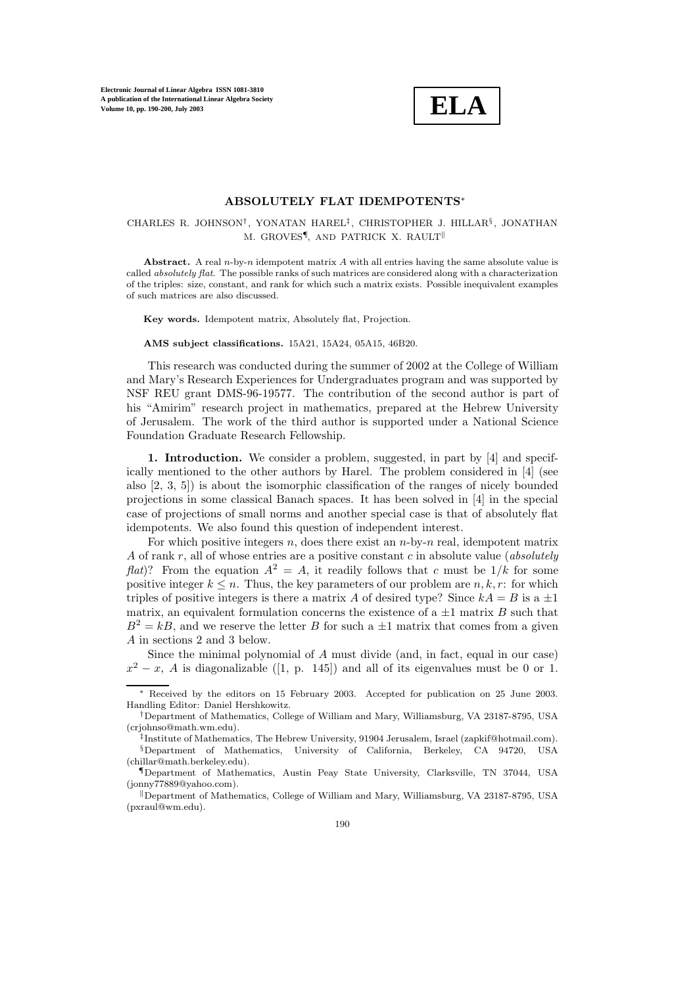

## **ABSOLUTELY FLAT IDEMPOTENTS**<sup>∗</sup>

# CHARLES R. JOHNSON†, YONATAN HAREL‡, CHRISTOPHER J. HILLAR§, JONATHAN M. GROVES¶, AND PATRICK X. RAULT

**Abstract.** A real  $n$ -by-n idempotent matrix A with all entries having the same absolute value is called absolutely flat. The possible ranks of such matrices are considered along with a characterization of the triples: size, constant, and rank for which such a matrix exists. Possible inequivalent examples of such matrices are also discussed.

**Key words.** Idempotent matrix, Absolutely flat, Projection.

#### **AMS subject classifications.** 15A21, 15A24, 05A15, 46B20.

This research was conducted during the summer of 2002 at the College of William and Mary's Research Experiences for Undergraduates program and was supported by NSF REU grant DMS-96-19577. The contribution of the second author is part of his "Amirim" research project in mathematics, prepared at the Hebrew University of Jerusalem. The work of the third author is supported under a National Science Foundation Graduate Research Fellowship.

**1. Introduction.** We consider a problem, suggested, in part by [4] and specifically mentioned to the other authors by Harel. The problem considered in [4] (see also [2, 3, 5]) is about the isomorphic classification of the ranges of nicely bounded projections in some classical Banach spaces. It has been solved in [4] in the special case of projections of small norms and another special case is that of absolutely flat idempotents. We also found this question of independent interest.

For which positive integers n, does there exist an  $n$ -by-n real, idempotent matrix A of rank r, all of whose entries are a positive constant c in absolute value (*absolutely flat*)? From the equation  $A^2 = A$ , it readily follows that c must be  $1/k$  for some positive integer  $k \leq n$ . Thus, the key parameters of our problem are  $n, k, r$ : for which triples of positive integers is there a matrix A of desired type? Since  $kA = B$  is a  $\pm 1$ matrix, an equivalent formulation concerns the existence of a  $\pm 1$  matrix B such that  $B^2 = kB$ , and we reserve the letter B for such a  $\pm 1$  matrix that comes from a given A in sections 2 and 3 below.

Since the minimal polynomial of A must divide (and, in fact, equal in our case)  $x^2 - x$ , A is diagonalizable ([1, p. 145]) and all of its eigenvalues must be 0 or 1.

Received by the editors on 15 February 2003. Accepted for publication on 25 June 2003. Handling Editor: Daniel Hershkowitz.

<sup>†</sup>Department of Mathematics, College of William and Mary, Williamsburg, VA 23187-8795, USA (crjohnso@math.wm.edu).

<sup>‡</sup>Institute of Mathematics, The Hebrew University, 91904 Jerusalem, Israel (zapkif@hotmail.com). §Department of Mathematics, University of California, Berkeley, CA 94720, USA (chillar@math.berkeley.edu).

<sup>¶</sup>Department of Mathematics, Austin Peay State University, Clarksville, TN 37044, USA (jonny77889@yahoo.com).

Department of Mathematics, College of William and Mary, Williamsburg, VA 23187-8795, USA (pxraul@wm.edu).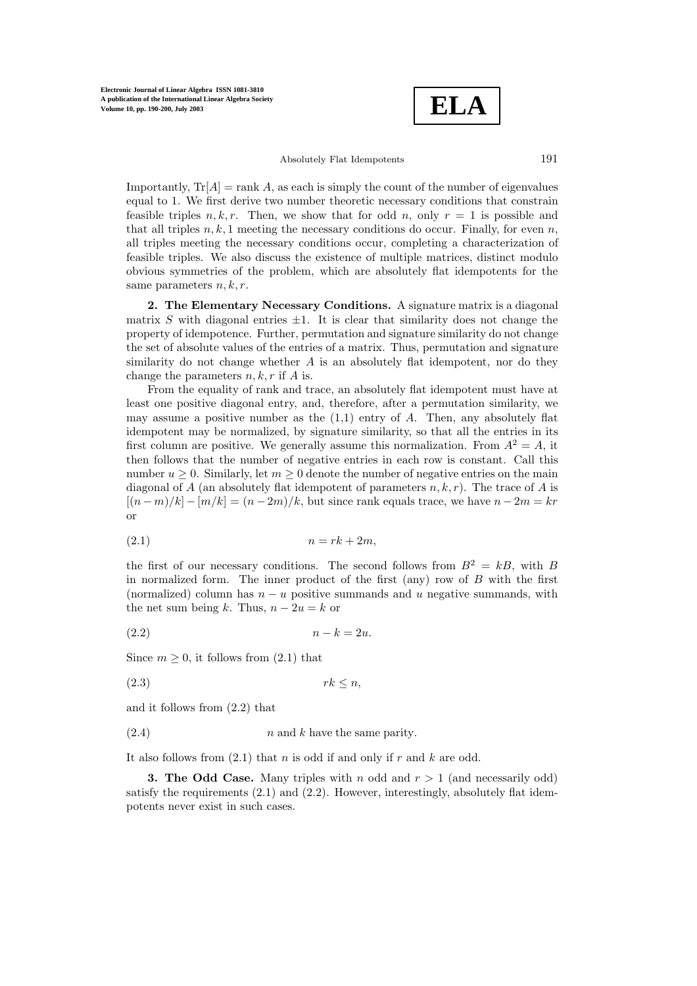**ELA**

### Absolutely Flat Idempotents 191

Importantly,  $Tr[A] = rank A$ , as each is simply the count of the number of eigenvalues equal to 1. We first derive two number theoretic necessary conditions that constrain feasible triples n, k, r. Then, we show that for odd n, only  $r = 1$  is possible and that all triples  $n, k, 1$  meeting the necessary conditions do occur. Finally, for even n, all triples meeting the necessary conditions occur, completing a characterization of feasible triples. We also discuss the existence of multiple matrices, distinct modulo obvious symmetries of the problem, which are absolutely flat idempotents for the same parameters  $n, k, r$ .

**2. The Elementary Necessary Conditions.** A signature matrix is a diagonal matrix S with diagonal entries  $\pm 1$ . It is clear that similarity does not change the property of idempotence. Further, permutation and signature similarity do not change the set of absolute values of the entries of a matrix. Thus, permutation and signature similarity do not change whether  $A$  is an absolutely flat idempotent, nor do they change the parameters  $n, k, r$  if  $A$  is.

From the equality of rank and trace, an absolutely flat idempotent must have at least one positive diagonal entry, and, therefore, after a permutation similarity, we may assume a positive number as the  $(1,1)$  entry of A. Then, any absolutely flat idempotent may be normalized, by signature similarity, so that all the entries in its first column are positive. We generally assume this normalization. From  $A^2 = A$ , it then follows that the number of negative entries in each row is constant. Call this number  $u \geq 0$ . Similarly, let  $m \geq 0$  denote the number of negative entries on the main diagonal of A (an absolutely flat idempotent of parameters  $n, k, r$ ). The trace of A is  $[(n-m)/k] - [m/k] = (n - 2m)/k$ , but since rank equals trace, we have  $n - 2m = kr$ or

$$
(2.1) \t\t n = rk + 2m,
$$

the first of our necessary conditions. The second follows from  $B^2 = kB$ , with B in normalized form. The inner product of the first (any) row of  $B$  with the first (normalized) column has  $n - u$  positive summands and u negative summands, with the net sum being k. Thus,  $n - 2u = k$  or

$$
(2.2) \t\t n-k=2u.
$$

Since  $m \geq 0$ , it follows from  $(2.1)$  that

(2.3) rk ≤ n,

and it follows from (2.2) that

$$
(2.4) \t\t n \t and \t k \t have the same parity.
$$

It also follows from  $(2.1)$  that n is odd if and only if r and k are odd.

**3. The Odd Case.** Many triples with n odd and  $r > 1$  (and necessarily odd) satisfy the requirements  $(2.1)$  and  $(2.2)$ . However, interestingly, absolutely flat idempotents never exist in such cases.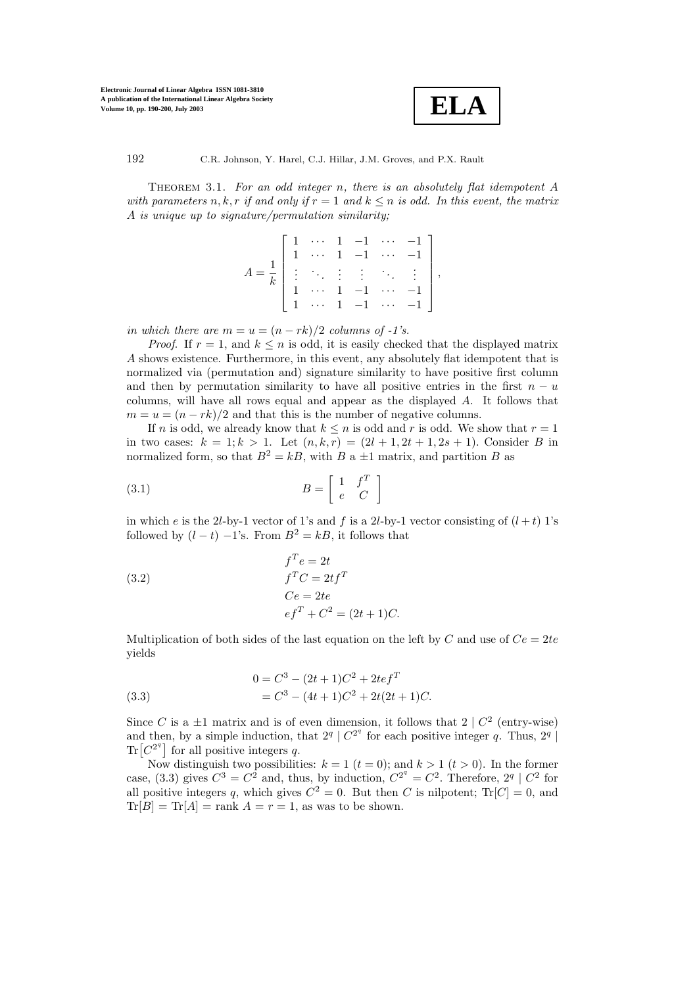

Theorem 3.1. *For an odd integer* n*, there is an absolutely flat idempotent* A *with parameters*  $n, k, r$  *if and only if*  $r = 1$  *and*  $k \leq n$  *is odd. In this event, the matrix* A *is unique up to signature/permutation similarity;*

$$
A = \frac{1}{k} \begin{bmatrix} 1 & \cdots & 1 & -1 & \cdots & -1 \\ 1 & \cdots & 1 & -1 & \cdots & -1 \\ \vdots & \ddots & \vdots & \vdots & \ddots & \vdots \\ 1 & \cdots & 1 & -1 & \cdots & -1 \\ 1 & \cdots & 1 & -1 & \cdots & -1 \end{bmatrix},
$$

*in which there are*  $m = u = (n - rk)/2$  *columns of -1's.* 

*Proof.* If  $r = 1$ , and  $k \leq n$  is odd, it is easily checked that the displayed matrix A shows existence. Furthermore, in this event, any absolutely flat idempotent that is normalized via (permutation and) signature similarity to have positive first column and then by permutation similarity to have all positive entries in the first  $n - u$ columns, will have all rows equal and appear as the displayed A. It follows that  $m = u = (n - rk)/2$  and that this is the number of negative columns.

If n is odd, we already know that  $k \leq n$  is odd and r is odd. We show that  $r = 1$ in two cases:  $k = 1; k > 1$ . Let  $(n, k, r) = (2l + 1, 2t + 1, 2s + 1)$ . Consider B in normalized form, so that  $B^2 = kB$ , with B a  $\pm 1$  matrix, and partition B as

$$
(3.1) \t\t B = \begin{bmatrix} 1 & f^T \\ e & C \end{bmatrix}
$$

in which e is the 2l-by-1 vector of 1's and f is a 2l-by-1 vector consisting of  $(l + t)$  1's followed by  $(l - t) -1$ 's. From  $B^2 = kB$ , it follows that

(3.2)  
\n
$$
f^T e = 2t
$$
\n
$$
f^T C = 2t f^T
$$
\n
$$
Ce = 2te
$$
\n
$$
ef^T + C^2 = (2t + 1)C.
$$

Multiplication of both sides of the last equation on the left by C and use of  $Ce = 2te$ yields

(3.3) 
$$
0 = C^3 - (2t+1)C^2 + 2tef^T
$$

$$
= C^3 - (4t+1)C^2 + 2t(2t+1)C.
$$

Since C is a  $\pm 1$  matrix and is of even dimension, it follows that  $2 \mid C^2$  (entry-wise) and then, by a simple induction, that  $2^q | C^{2^q}$  for each positive integer q. Thus,  $2^q |$  $\text{Tr}[C^{2^q}]$  for all positive integers q.

Now distinguish two possibilities:  $k = 1$  ( $t = 0$ ); and  $k > 1$  ( $t > 0$ ). In the former case, (3.3) gives  $C^3 = C^2$  and, thus, by induction,  $C^{2^q} = C^2$ . Therefore,  $2^q \mid C^2$  for all positive integers q, which gives  $C^2 = 0$ . But then C is nilpotent;  $Tr[C] = 0$ , and  $\text{Tr}[B] = \text{Tr}[A] = \text{rank } A = r = 1$ , as was to be shown.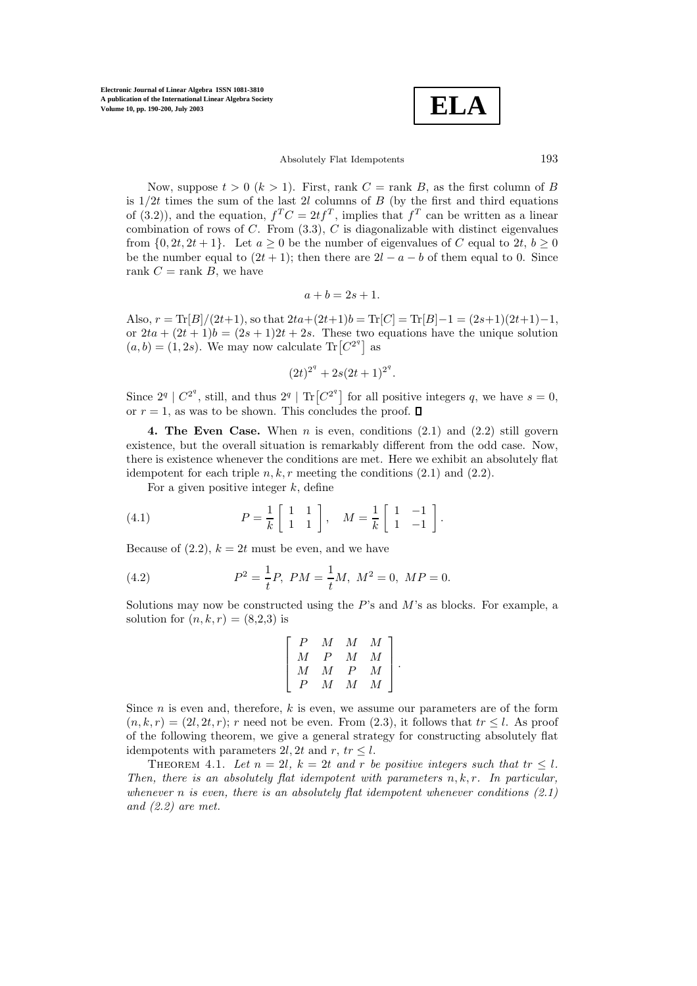$$
\overline{\textbf{ELA}}
$$

### Absolutely Flat Idempotents 193

Now, suppose  $t > 0$   $(k > 1)$ . First, rank  $C =$  rank  $B$ , as the first column of  $B$ is  $1/2t$  times the sum of the last 2l columns of B (by the first and third equations of (3.2)), and the equation,  $f^T C = 2t f^T$ , implies that  $f^T$  can be written as a linear combination of rows of  $C$ . From  $(3.3)$ ,  $C$  is diagonalizable with distinct eigenvalues from  $\{0, 2t, 2t + 1\}$ . Let  $a > 0$  be the number of eigenvalues of C equal to  $2t, b > 0$ be the number equal to  $(2t + 1)$ ; then there are  $2l - a - b$  of them equal to 0. Since rank  $C = \text{rank } B$ , we have

$$
a + b = 2s + 1.
$$

Also,  $r = \text{Tr}[B]/(2t+1)$ , so that  $2ta + (2t+1)b = \text{Tr}[C] = \text{Tr}[B]-1 = (2s+1)(2t+1)-1$ , or  $2ta + (2t + 1)b = (2s + 1)2t + 2s$ . These two equations have the unique solution  $(a, b) = (1, 2s)$ . We may now calculate Tr $[C^{2^q}]$  as

$$
(2t)^{2^q} + 2s(2t+1)^{2^q}.
$$

Since  $2^q \mid C^{2^q}$ , still, and thus  $2^q \mid Tr[C^{2^q}]$  for all positive integers q, we have  $s = 0$ , or  $r = 1$ , as was to be shown. This concludes the proof.  $\Box$ 

**4. The Even Case.** When  $n$  is even, conditions  $(2.1)$  and  $(2.2)$  still govern existence, but the overall situation is remarkably different from the odd case. Now, there is existence whenever the conditions are met. Here we exhibit an absolutely flat idempotent for each triple n, k, r meeting the conditions  $(2.1)$  and  $(2.2)$ .

For a given positive integer  $k$ , define

(4.1) 
$$
P = \frac{1}{k} \begin{bmatrix} 1 & 1 \\ 1 & 1 \end{bmatrix}, \quad M = \frac{1}{k} \begin{bmatrix} 1 & -1 \\ 1 & -1 \end{bmatrix}.
$$

Because of  $(2.2)$ ,  $k = 2t$  must be even, and we have

(4.2) 
$$
P^2 = \frac{1}{t}P, \ PM = \frac{1}{t}M, \ M^2 = 0, \ MP = 0.
$$

Solutions may now be constructed using the  $P$ 's and  $M$ 's as blocks. For example, a solution for  $(n, k, r) = (8,2,3)$  is

$$
\left[ \begin{array}{cccc} P & M & M & M \\ M & P & M & M \\ M & M & P & M \\ P & M & M & M \end{array} \right].
$$

Since  $n$  is even and, therefore,  $k$  is even, we assume our parameters are of the form  $(n, k, r) = (2l, 2t, r);$  r need not be even. From  $(2.3)$ , it follows that  $tr \leq l$ . As proof of the following theorem, we give a general strategy for constructing absolutely flat idempotents with parameters 2l, 2t and r,  $tr \leq l$ .

THEOREM 4.1. Let  $n = 2l$ ,  $k = 2t$  and r be positive integers such that  $tr \leq l$ . *Then, there is an absolutely flat idempotent with parameters*  $n, k, r$ *. In particular, whenever* n *is even, there is an absolutely flat idempotent whenever conditions (2.1) and (2.2) are met.*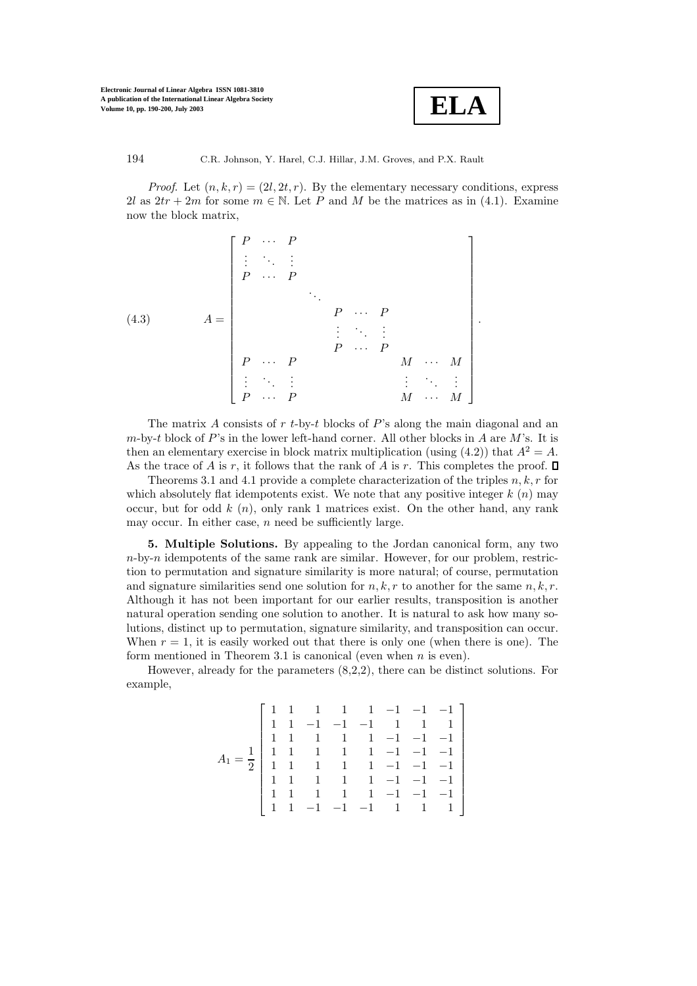

*Proof.* Let  $(n, k, r) = (2l, 2t, r)$ . By the elementary necessary conditions, express 2l as  $2tr + 2m$  for some  $m \in \mathbb{N}$ . Let P and M be the matrices as in (4.1). Examine now the block matrix,

(4.3) 
$$
A = \begin{bmatrix} P & \cdots & P \\ \vdots & \ddots & \vdots & & & \\ P & \cdots & P & & & \\ & & & \ddots & & & \\ & & & & P & \cdots & P \\ & & & & & P & \cdots & P \\ P & \cdots & P & & & M & \cdots & M \\ \vdots & \ddots & \vdots & & & & \vdots & \ddots & \vdots \\ P & \cdots & P & & & & M & \cdots & M \end{bmatrix}.
$$

The matrix A consists of  $r t$ -by-t blocks of P's along the main diagonal and an  $m$ -by-t block of P's in the lower left-hand corner. All other blocks in A are M's. It is then an elementary exercise in block matrix multiplication (using  $(4.2)$ ) that  $A^2 = A$ . As the trace of A is r, it follows that the rank of A is r. This completes the proof.  $\Box$ 

Theorems 3.1 and 4.1 provide a complete characterization of the triples  $n, k, r$  for which absolutely flat idempotents exist. We note that any positive integer  $k(n)$  may occur, but for odd  $k(n)$ , only rank 1 matrices exist. On the other hand, any rank may occur. In either case,  $n$  need be sufficiently large.

**5. Multiple Solutions.** By appealing to the Jordan canonical form, any two  $n$ -by- $n$  idempotents of the same rank are similar. However, for our problem, restriction to permutation and signature similarity is more natural; of course, permutation and signature similarities send one solution for  $n, k, r$  to another for the same  $n, k, r$ . Although it has not been important for our earlier results, transposition is another natural operation sending one solution to another. It is natural to ask how many solutions, distinct up to permutation, signature similarity, and transposition can occur. When  $r = 1$ , it is easily worked out that there is only one (when there is one). The form mentioned in Theorem 3.1 is canonical (even when  $n$  is even).

However, already for the parameters (8,2,2), there can be distinct solutions. For example,

$$
A_1 = \frac{1}{2} \begin{bmatrix} 1 & 1 & 1 & 1 & 1 & -1 & -1 & -1 \\ 1 & 1 & -1 & -1 & -1 & 1 & 1 & 1 \\ 1 & 1 & 1 & 1 & 1 & -1 & -1 & -1 \\ 1 & 1 & 1 & 1 & 1 & -1 & -1 & -1 \\ 1 & 1 & 1 & 1 & 1 & -1 & -1 & -1 \\ 1 & 1 & 1 & 1 & 1 & -1 & -1 & -1 \\ 1 & 1 & 1 & 1 & 1 & -1 & -1 & -1 \\ 1 & 1 & -1 & -1 & -1 & 1 & 1 & 1 \end{bmatrix}
$$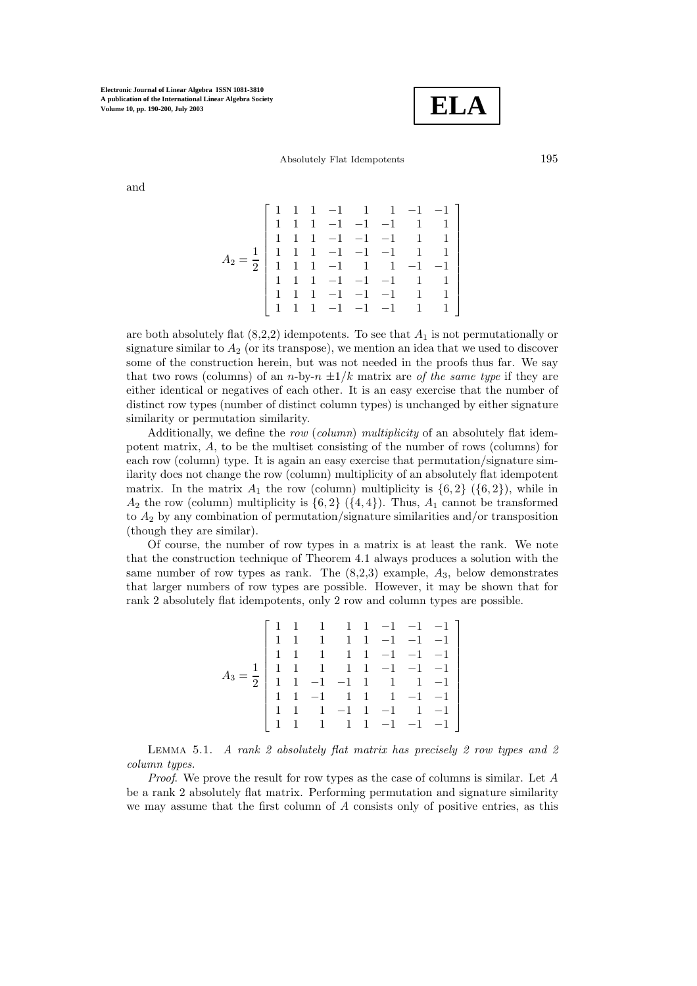$$
\boxed{\text{ELA}}
$$

Absolutely Flat Idempotents 195

and

$$
A_2 = \frac{1}{2} \begin{bmatrix} 1 & 1 & 1 & -1 & 1 & 1 & -1 & -1 \\ 1 & 1 & 1 & -1 & -1 & -1 & 1 & 1 \\ 1 & 1 & 1 & -1 & -1 & -1 & 1 & 1 \\ 1 & 1 & 1 & -1 & -1 & -1 & 1 & 1 \\ 1 & 1 & 1 & -1 & 1 & 1 & -1 & -1 \\ 1 & 1 & 1 & -1 & -1 & -1 & 1 & 1 \\ 1 & 1 & 1 & -1 & -1 & -1 & 1 & 1 \\ 1 & 1 & 1 & -1 & -1 & -1 & 1 & 1 \end{bmatrix}
$$

are both absolutely flat  $(8,2,2)$  idempotents. To see that  $A_1$  is not permutationally or signature similar to  $A_2$  (or its transpose), we mention an idea that we used to discover some of the construction herein, but was not needed in the proofs thus far. We say that two rows (columns) of an n-by- $n \pm 1/k$  matrix are *of the same type* if they are either identical or negatives of each other. It is an easy exercise that the number of distinct row types (number of distinct column types) is unchanged by either signature similarity or permutation similarity.

Additionally, we define the *row* (*column*) *multiplicity* of an absolutely flat idempotent matrix, A, to be the multiset consisting of the number of rows (columns) for each row (column) type. It is again an easy exercise that permutation/signature similarity does not change the row (column) multiplicity of an absolutely flat idempotent matrix. In the matrix  $A_1$  the row (column) multiplicity is  $\{6, 2\}$  ( $\{6, 2\}$ ), while in  $A_2$  the row (column) multiplicity is  $\{6, 2\}$  ( $\{4, 4\}$ ). Thus,  $A_1$  cannot be transformed to  $A_2$  by any combination of permutation/signature similarities and/or transposition (though they are similar).

Of course, the number of row types in a matrix is at least the rank. We note that the construction technique of Theorem 4.1 always produces a solution with the same number of row types as rank. The  $(8,2,3)$  example,  $A_3$ , below demonstrates that larger numbers of row types are possible. However, it may be shown that for rank 2 absolutely flat idempotents, only 2 row and column types are possible.

$$
A_3 = \frac{1}{2} \begin{bmatrix} 1 & 1 & 1 & 1 & 1 & -1 & -1 & -1 \\ 1 & 1 & 1 & 1 & 1 & -1 & -1 & -1 \\ 1 & 1 & 1 & 1 & 1 & -1 & -1 & -1 \\ 1 & 1 & 1 & 1 & 1 & -1 & -1 & -1 \\ 1 & 1 & -1 & -1 & 1 & 1 & 1 & -1 & -1 \\ 1 & 1 & 1 & -1 & 1 & -1 & 1 & -1 & -1 \\ 1 & 1 & 1 & 1 & 1 & -1 & -1 & -1 & -1 \\ 1 & 1 & 1 & 1 & 1 & -1 & -1 & -1 & -1 \end{bmatrix}
$$

Lemma 5.1. *A rank 2 absolutely flat matrix has precisely 2 row types and 2 column types.*

*Proof*. We prove the result for row types as the case of columns is similar. Let A be a rank 2 absolutely flat matrix. Performing permutation and signature similarity we may assume that the first column of A consists only of positive entries, as this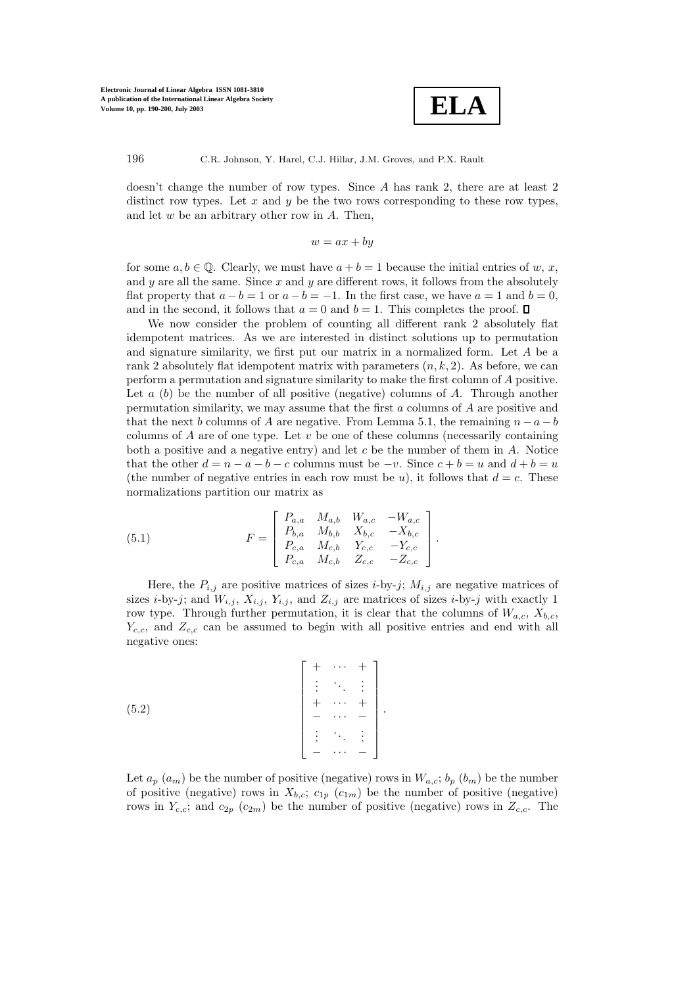

doesn't change the number of row types. Since A has rank 2, there are at least 2 distinct row types. Let  $x$  and  $y$  be the two rows corresponding to these row types, and let  $w$  be an arbitrary other row in  $A$ . Then,

$$
w = ax + by
$$

for some  $a, b \in \mathbb{Q}$ . Clearly, we must have  $a + b = 1$  because the initial entries of w, x, and y are all the same. Since  $x$  and  $y$  are different rows, it follows from the absolutely flat property that  $a - b = 1$  or  $a - b = -1$ . In the first case, we have  $a = 1$  and  $b = 0$ , and in the second, it follows that  $a = 0$  and  $b = 1$ . This completes the proof.  $\Box$ 

We now consider the problem of counting all different rank 2 absolutely flat idempotent matrices. As we are interested in distinct solutions up to permutation and signature similarity, we first put our matrix in a normalized form. Let A be a rank 2 absolutely flat idempotent matrix with parameters  $(n, k, 2)$ . As before, we can perform a permutation and signature similarity to make the first column of A positive. Let  $a$  (b) be the number of all positive (negative) columns of A. Through another permutation similarity, we may assume that the first  $a$  columns of  $A$  are positive and that the next b columns of A are negative. From Lemma 5.1, the remaining  $n - a - b$ columns of  $A$  are of one type. Let  $v$  be one of these columns (necessarily containing both a positive and a negative entry) and let  $c$  be the number of them in  $\tilde{A}$ . Notice that the other  $d = n - a - b - c$  columns must be  $-v$ . Since  $c + b = u$  and  $d + b = u$ (the number of negative entries in each row must be u), it follows that  $d = c$ . These normalizations partition our matrix as

(5.1) 
$$
F = \begin{bmatrix} P_{a,a} & M_{a,b} & W_{a,c} & -W_{a,c} \\ P_{b,a} & M_{b,b} & X_{b,c} & -X_{b,c} \\ P_{c,a} & M_{c,b} & Y_{c,c} & -Y_{c,c} \\ P_{c,a} & M_{c,b} & Z_{c,c} & -Z_{c,c} \end{bmatrix}.
$$

Here, the  $P_{i,j}$  are positive matrices of sizes *i*-by-*j*;  $M_{i,j}$  are negative matrices of sizes *i*-by-*j*; and  $W_{i,j}$ ,  $X_{i,j}$ ,  $Y_{i,j}$ , and  $Z_{i,j}$  are matrices of sizes *i*-by-*j* with exactly 1 row type. Through further permutation, it is clear that the columns of  $W_{a,c}$ ,  $X_{b,c}$ ,  $Y_{c,c}$ , and  $Z_{c,c}$  can be assumed to begin with all positive entries and end with all negative ones:

$$
(5.2) \qquad \begin{bmatrix} + & \cdots & + \\ \vdots & \ddots & \vdots \\ + & \cdots & + \\ - & \cdots & - \\ \vdots & \ddots & \vdots \\ - & \cdots & - \end{bmatrix}.
$$

Let  $a_p(a_m)$  be the number of positive (negative) rows in  $W_{a,c}$ ;  $b_p(b_m)$  be the number of positive (negative) rows in  $X_{b,c}$ ;  $c_{1p}$  ( $c_{1m}$ ) be the number of positive (negative) rows in  $Y_{c,c}$ ; and  $c_{2p}$  ( $c_{2m}$ ) be the number of positive (negative) rows in  $Z_{c,c}$ . The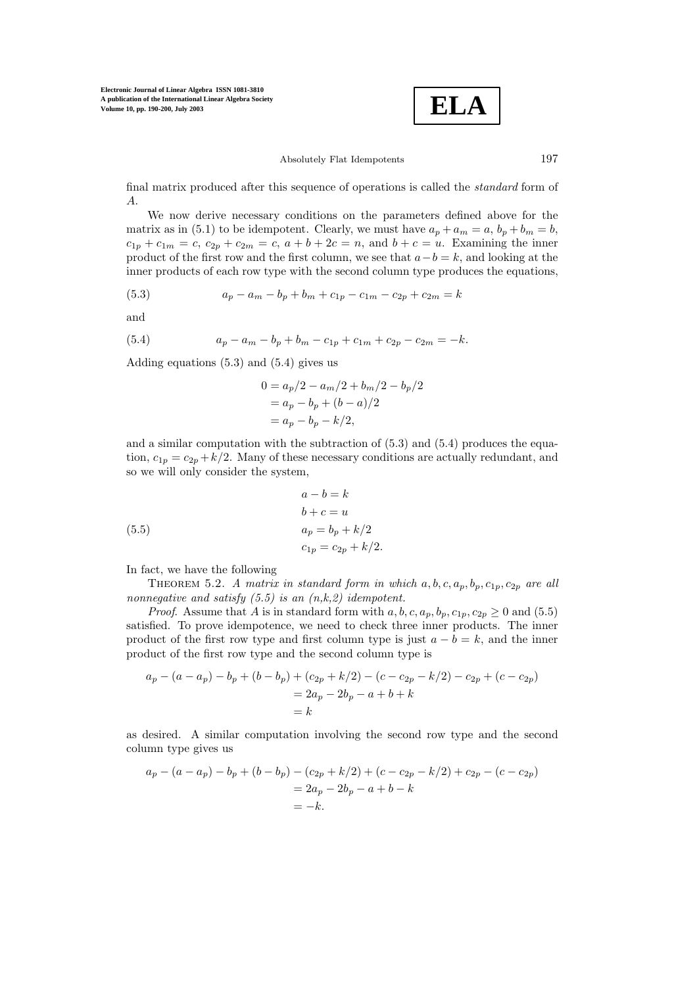$$
\boxed{\text{ELA}}
$$

### Absolutely Flat Idempotents 197

final matrix produced after this sequence of operations is called the *standard* form of A.

We now derive necessary conditions on the parameters defined above for the matrix as in (5.1) to be idempotent. Clearly, we must have  $a_p + a_m = a$ ,  $b_p + b_m = b$ ,  $c_{1p} + c_{1m} = c, c_{2p} + c_{2m} = c, a + b + 2c = n$ , and  $b + c = u$ . Examining the inner product of the first row and the first column, we see that  $a - b = k$ , and looking at the inner products of each row type with the second column type produces the equations,

(5.3) 
$$
a_p - a_m - b_p + b_m + c_{1p} - c_{1m} - c_{2p} + c_{2m} = k
$$

and

(5.4) 
$$
a_p - a_m - b_p + b_m - c_{1p} + c_{1m} + c_{2p} - c_{2m} = -k.
$$

Adding equations (5.3) and (5.4) gives us

$$
0 = a_p/2 - a_m/2 + b_m/2 - b_p/2
$$
  
=  $a_p - b_p + (b - a)/2$   
=  $a_p - b_p - k/2$ ,

and a similar computation with the subtraction of  $(5.3)$  and  $(5.4)$  produces the equation,  $c_{1p} = c_{2p} + k/2$ . Many of these necessary conditions are actually redundant, and so we will only consider the system,

(5.5)  
\n
$$
a - b = k
$$
\n
$$
b + c = u
$$
\n
$$
a_p = b_p + k/2
$$
\n
$$
c_{1p} = c_{2p} + k/2.
$$

In fact, we have the following

THEOREM 5.2. *A matrix in standard form in which*  $a, b, c, a_p, b_p, c_{1p}, c_{2p}$  *are all nonnegative and satisfy (5.5) is an (n,k,2) idempotent.*

*Proof.* Assume that A is in standard form with  $a, b, c, a_p, b_p, c_{1p}, c_{2p} \ge 0$  and (5.5) satisfied. To prove idempotence, we need to check three inner products. The inner product of the first row type and first column type is just  $a - b = k$ , and the inner product of the first row type and the second column type is

$$
a_p - (a - a_p) - b_p + (b - b_p) + (c_{2p} + k/2) - (c - c_{2p} - k/2) - c_{2p} + (c - c_{2p})
$$
  
= 2a<sub>p</sub> - 2b<sub>p</sub> - a + b + k  
= k

as desired. A similar computation involving the second row type and the second column type gives us

$$
a_p - (a - a_p) - b_p + (b - b_p) - (c_{2p} + k/2) + (c - c_{2p} - k/2) + c_{2p} - (c - c_{2p})
$$
  
=  $2a_p - 2b_p - a + b - k$   
=  $-k$ .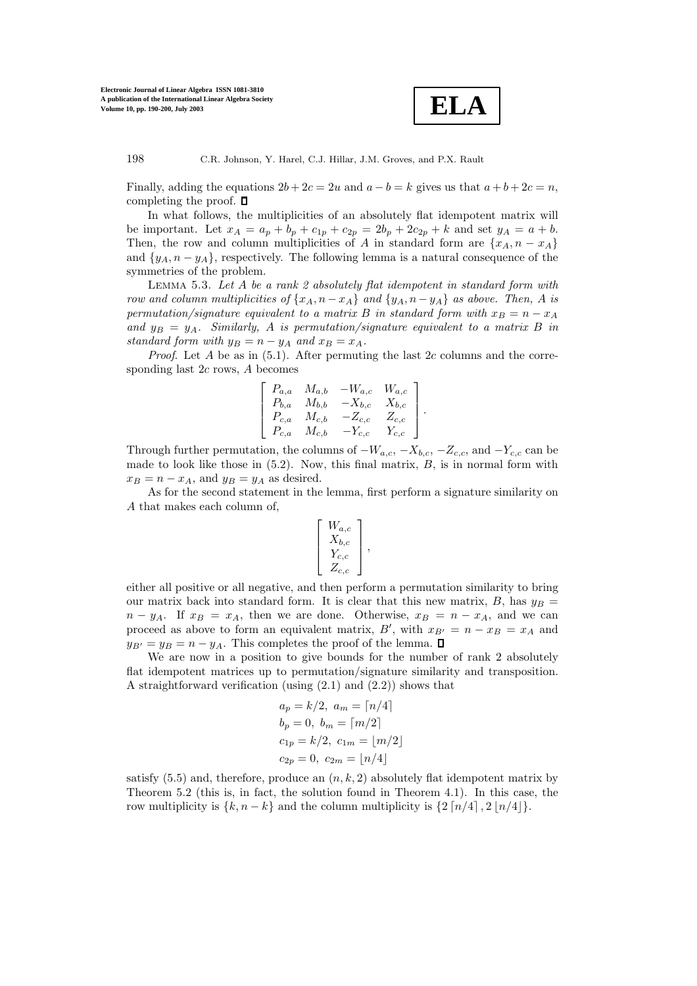

Finally, adding the equations  $2b + 2c = 2u$  and  $a - b = k$  gives us that  $a + b + 2c = n$ , completing the proof.  $\Box$ 

In what follows, the multiplicities of an absolutely flat idempotent matrix will be important. Let  $x_A = a_p + b_p + c_{1p} + c_{2p} = 2b_p + 2c_{2p} + k$  and set  $y_A = a + b$ . Then, the row and column multiplicities of A in standard form are  $\{x_A, n - x_A\}$ and  $\{y_A, n - y_A\}$ , respectively. The following lemma is a natural consequence of the symmetries of the problem.

Lemma 5.3. *Let* A *be a rank 2 absolutely flat idempotent in standard form with row and column multiplicities of*  $\{x_A, n - x_A\}$  *and*  $\{y_A, n - y_A\}$  *as above. Then,* A *is permutation/signature equivalent to a matrix* B *in standard form with*  $x_B = n - x_A$ and  $y_B = y_A$ . Similarly, A is permutation/signature equivalent to a matrix B in *standard form with*  $y_B = n - y_A$  *and*  $x_B = x_A$ *.* 

*Proof.* Let A be as in  $(5.1)$ . After permuting the last 2c columns and the corresponding last 2c rows, A becomes

$$
\left[ \begin{array}{cccc} P_{a,a} & M_{a,b} & -W_{a,c} & W_{a,c} \\ P_{b,a} & M_{b,b} & -X_{b,c} & X_{b,c} \\ P_{c,a} & M_{c,b} & -Z_{c,c} & Z_{c,c} \\ P_{c,a} & M_{c,b} & -Y_{c,c} & Y_{c,c} \end{array} \right].
$$

Through further permutation, the columns of  $-W_{a,c}$ ,  $-X_{b,c}$ ,  $-Z_{c,c}$ , and  $-Y_{c,c}$  can be made to look like those in  $(5.2)$ . Now, this final matrix,  $B$ , is in normal form with  $x_B = n - x_A$ , and  $y_B = y_A$  as desired.

As for the second statement in the lemma, first perform a signature similarity on A that makes each column of,

$$
\left[\begin{array}{c} W_{a,c} \\ X_{b,c} \\ Y_{c,c} \\ Z_{c,c} \end{array}\right],
$$

either all positive or all negative, and then perform a permutation similarity to bring our matrix back into standard form. It is clear that this new matrix, B, has  $y_B =$  $n - y_A$ . If  $x_B = x_A$ , then we are done. Otherwise,  $x_B = n - x_A$ , and we can proceed as above to form an equivalent matrix, B', with  $x_{B'} = n - x_B = x_A$  and  $y_{B'} = y_B = n - y_A$ . This completes the proof of the lemma.  $\square$ 

We are now in a position to give bounds for the number of rank 2 absolutely flat idempotent matrices up to permutation/signature similarity and transposition. A straightforward verification (using (2.1) and (2.2)) shows that

$$
a_p = k/2, \ a_m = \lceil n/4 \rceil
$$
  
\n
$$
b_p = 0, \ b_m = \lceil m/2 \rceil
$$
  
\n
$$
c_{1p} = k/2, \ c_{1m} = \lfloor m/2 \rfloor
$$
  
\n
$$
c_{2p} = 0, \ c_{2m} = \lfloor n/4 \rfloor
$$

satisfy  $(5.5)$  and, therefore, produce an  $(n, k, 2)$  absolutely flat idempotent matrix by Theorem 5.2 (this is, in fact, the solution found in Theorem 4.1). In this case, the row multiplicity is  $\{k, n-k\}$  and the column multiplicity is  $\{2\lceil n/4 \rceil, 2\lfloor n/4 \rfloor\}.$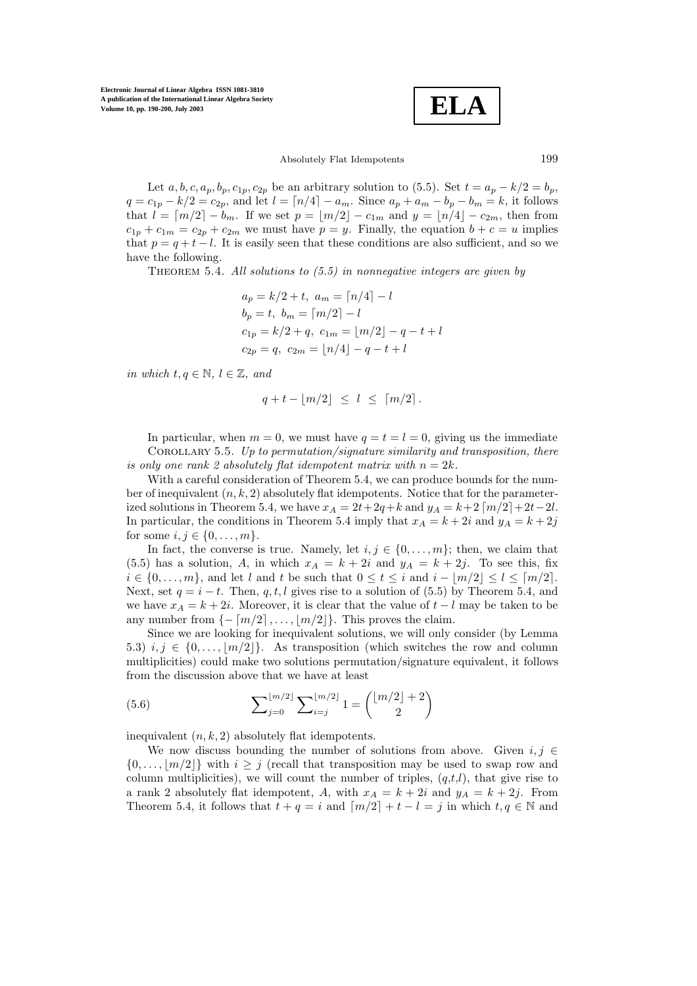**ELA**

Absolutely Flat Idempotents 199

Let  $a, b, c, a_p, b_p, c_{1p}, c_{2p}$  be an arbitrary solution to (5.5). Set  $t = a_p - k/2 = b_p$ ,  $q = c_{1p} - k/2 = c_{2p}$ , and let  $l = \lceil n/4 \rceil - a_m$ . Since  $a_p + a_m - b_p - b_m = k$ , it follows that  $l = \lceil m/2 \rceil - b_m$ . If we set  $p = \lfloor m/2 \rfloor - c_{1m}$  and  $y = \lfloor n/4 \rfloor - c_{2m}$ , then from  $c_{1p} + c_{1m} = c_{2p} + c_{2m}$  we must have  $p = y$ . Finally, the equation  $b + c = u$  implies that  $p = q + t - l$ . It is easily seen that these conditions are also sufficient, and so we have the following.

Theorem 5.4. *All solutions to (5.5) in nonnegative integers are given by*

$$
a_p = k/2 + t, \ a_m = \lceil n/4 \rceil - l
$$
  
\n
$$
b_p = t, \ b_m = \lceil m/2 \rceil - l
$$
  
\n
$$
c_{1p} = k/2 + q, \ c_{1m} = \lfloor m/2 \rfloor - q - t + l
$$
  
\n
$$
c_{2p} = q, \ c_{2m} = \lfloor n/4 \rfloor - q - t + l
$$

*in which*  $t, q \in \mathbb{N}, l \in \mathbb{Z}$ , and

$$
q + t - \lfloor m/2 \rfloor \le l \le \lceil m/2 \rceil.
$$

In particular, when  $m = 0$ , we must have  $q = t = l = 0$ , giving us the immediate Corollary 5.5. *Up to permutation/signature similarity and transposition, there is only one rank 2 absolutely flat idempotent matrix with*  $n = 2k$ .

With a careful consideration of Theorem 5.4, we can produce bounds for the number of inequivalent  $(n, k, 2)$  absolutely flat idempotents. Notice that for the parameterized solutions in Theorem 5.4, we have  $x_A = 2t + 2q + k$  and  $y_A = k + 2\lfloor m/2 \rfloor + 2t - 2l$ . In particular, the conditions in Theorem 5.4 imply that  $x_A = k + 2i$  and  $y_A = k + 2j$ for some  $i, j \in \{0, ..., m\}$ .

In fact, the converse is true. Namely, let  $i, j \in \{0, \ldots, m\}$ ; then, we claim that (5.5) has a solution, A, in which  $x_A = k + 2i$  and  $y_A = k + 2j$ . To see this, fix  $i \in \{0, \ldots, m\}$ , and let l and t be such that  $0 \le t \le i$  and  $i - \lfloor m/2 \rfloor \le l \le \lceil m/2 \rceil$ . Next, set  $q = i - t$ . Then, q, t, l gives rise to a solution of (5.5) by Theorem 5.4, and we have  $x_A = k + 2i$ . Moreover, it is clear that the value of  $t - l$  may be taken to be any number from  $\{-\lceil m/2 \rceil, \ldots, \lfloor m/2 \rfloor\}$ . This proves the claim.

Since we are looking for inequivalent solutions, we will only consider (by Lemma 5.3)  $i, j \in \{0, \ldots, |m/2|\}$ . As transposition (which switches the row and column multiplicities) could make two solutions permutation/signature equivalent, it follows from the discussion above that we have at least

(5.6) 
$$
\sum_{j=0}^{\lfloor m/2 \rfloor} \sum_{i=j}^{\lfloor m/2 \rfloor} 1 = {\binom{\lfloor m/2 \rfloor + 2}{2}}
$$

inequivalent  $(n, k, 2)$  absolutely flat idempotents.

We now discuss bounding the number of solutions from above. Given  $i, j \in$  $\{0,\ldots,\lfloor m/2\rfloor\}$  with  $i\geq j$  (recall that transposition may be used to swap row and column multiplicities), we will count the number of triples,  $(q,t,l)$ , that give rise to a rank 2 absolutely flat idempotent, A, with  $x_A = k + 2i$  and  $y_A = k + 2j$ . From Theorem 5.4, it follows that  $t + q = i$  and  $\lceil m/2 \rceil + t - l = j$  in which  $t, q \in \mathbb{N}$  and